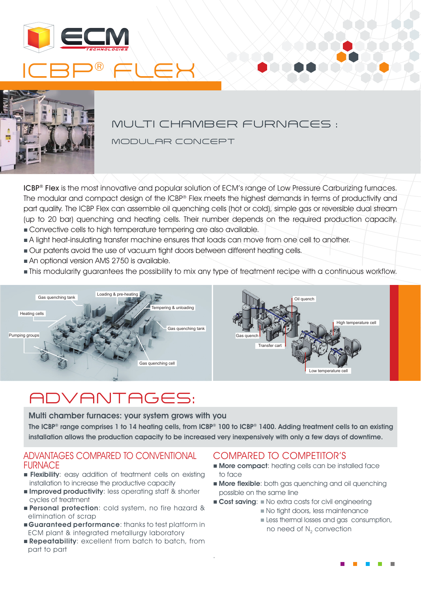



### MULTI CHAMBER FURNACES :

MODULAR CONCEPT

ICBP® Flex is the most innovative and popular solution of ECM's range of Low Pressure Carburizing furnaces. The modular and compact design of the ICBP® Flex meets the highest demands in terms of productivity and part quality. The ICBP Flex can assemble oil quenching cells (hot or cold), simple gas or reversible dual stream (up to 20 bar) quenching and heating cells. Their number depends on the required production capacity. n Convective cells to high temperature tempering are also available.

- n A light heat-insulating transfer machine ensures that loads can move from one cell to another.
- n Our patents avoid the use of vacuum tight doors between different heating cells.
- n An optional version AMS 2750 is available.
- n This modularity guarantees the possibility to mix any type of treatment recipe with a continuous workflow.



## ADVANTAGES:

Multi chamber furnaces: your system grows with you

The ICBP® range comprises 1 to 14 heating cells, from ICBP® 100 to ICBP® 1400. Adding treatment cells to an existing installation allows the production capacity to be increased very inexpensively with only a few days of downtime.

.

#### ADVANTAGES COMPARED TO CONVENTIONAL FURNACE

- **Flexibility:** easy addition of treatment cells on existing installation to increase the productive capacity
- **n Improved productivity:** less operating staff & shorter cycles of treatment
- **Personal protection:** cold system, no fire hazard & elimination of scrap
- **Guaranteed performance:** thanks to test platform in ECM plant & integrated metallurgy laboratory
- **Repeatability:** excellent from batch to batch, from part to part

### COMPARED TO COMPETITOR'S

- **n More compact:** heating cells can be installed face to face
- **More flexible:** both gas quenching and oil quenching possible on the same line
- **Cost saving:** No extra costs for civil engineering
	- n No tight doors, less maintenance
	- **n** Less thermal losses and gas consumption, no need of N<sub>2</sub> convection